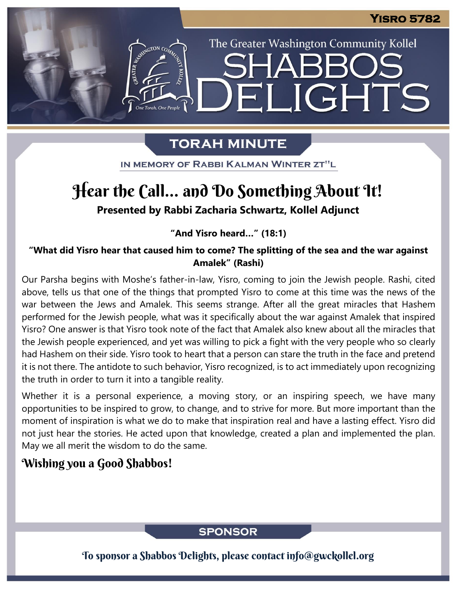The Greater Washington Community Kollel

ELIGHTS

## **TORAH MINUTE**

IN MEMORY OF RABBI KALMAN WINTER ZT"L

# Hear the Call... and Do Something About It!

**Presented by Rabbi Zacharia Schwartz, Kollel Adjunct**

#### **"And Yisro heard…" (18:1)**

**"What did Yisro hear that caused him to come? The splitting of the sea and the war against Amalek" (Rashi)**

Our Parsha begins with Moshe's father-in-law, Yisro, coming to join the Jewish people. Rashi, cited above, tells us that one of the things that prompted Yisro to come at this time was the news of the war between the Jews and Amalek. This seems strange. After all the great miracles that Hashem performed for the Jewish people, what was it specifically about the war against Amalek that inspired Yisro? One answer is that Yisro took note of the fact that Amalek also knew about all the miracles that the Jewish people experienced, and yet was willing to pick a fight with the very people who so clearly had Hashem on their side. Yisro took to heart that a person can stare the truth in the face and pretend it is not there. The antidote to such behavior, Yisro recognized, is to act immediately upon recognizing the truth in order to turn it into a tangible reality.

Whether it is a personal experience, a moving story, or an inspiring speech, we have many opportunities to be inspired to grow, to change, and to strive for more. But more important than the moment of inspiration is what we do to make that inspiration real and have a lasting effect. Yisro did not just hear the stories. He acted upon that knowledge, created a plan and implemented the plan. May we all merit the wisdom to do the same.

## Wishing you a Good Shabbos!

### **SPONSOR**

To sponsor a Shabbos Delights, please contact info@gwckollel.org